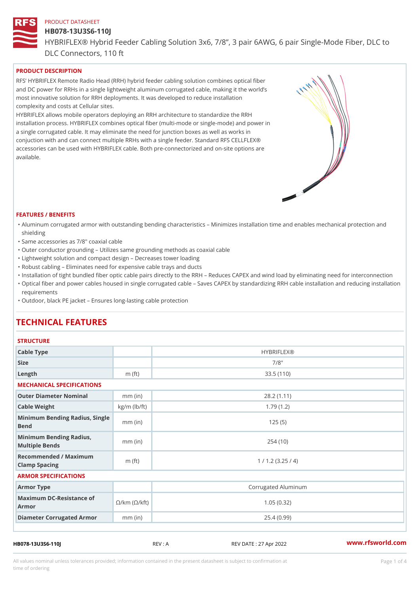### HB078-13U3S6-110J

HYBRIFLEX® Hybrid Feeder Cabling Solution 3x6, 7/8, 3 pair 6AWG, 6 DLC Connectors, 110 ft

# PRODUCT DESCRIPTION

RFS HYBRIFLEX Remote Radio Head (RRH) hybrid feeder cabling solution combines optical fibe and DC power for RRHs in a single lightweight aluminum corrugated cable, making it the world s most innovative solution for RRH deployments. It was developed to reduce installation complexity and costs at Cellular sites.

HYBRIFLEX allows mobile operators deploying an RRH architecture to standardize the RRH installation process. HYBRIFLEX combines optical fiber (multi-mode or single-mode) and power in a single corrugated cable. It may eliminate the need for junction boxes as well as works in conjuction with and can connect multiple RRHs with a single feeder. Standard RFS CELLFLEX® accessories can be used with HYBRIFLEX cable. Both pre-connectorized and on-site options are available.

#### FEATURES / BENEFITS

- "Aluminum corrugated armor with outstanding bending characteristics Minimizes installation time a shielding
- "Same accessories as 7/8" coaxial cable
- "Outer conductor grounding Utilizes same grounding methods as coaxial cable
- "Lightweight solution and compact design Decreases tower loading
- "Robust cabling Eliminates need for expensive cable trays and ducts
- "Installation of tight bundled fiber optic cable pairs directly to the RRH and belogies CAPEX and wind  $\theta$
- "Optical fiber and power cables housed in single corrugated cable  $\,$  Saves CAPEX by standardiz $\,$ ng  $\,$ requirements
- "Outdoor, black PE jacket Ensures long-lasting cable protection

# TECHNICAL FEATURES

#### **STRUCTURE**

| Cable Type                                                             |                    | <b>HYBRIFLEX®</b>   |  |  |
|------------------------------------------------------------------------|--------------------|---------------------|--|--|
| Size                                                                   |                    | $7/8$ "             |  |  |
| Length                                                                 | m $(ft)$           | 33.5(110)           |  |  |
| MECHANICAL SPECIFICATIONS                                              |                    |                     |  |  |
| Outer Diameter Nominal                                                 | $mm$ (in)          | 28.2(1.11)          |  |  |
| Cable Weight                                                           | $kg/m$ ( $lb/ft$ ) | 1.79(1.2)           |  |  |
| Minimum Bending Radius, Single<br>Bend                                 |                    | 125(5)              |  |  |
| Minimum Bending Radius,<br>Multiple Bends                              | $mm$ (in)          | 254(10)             |  |  |
| Recommended / Maximum<br>Clamp Spacing                                 | m $(ft)$           | 1 / 1.2 (3.25 / 4)  |  |  |
| ARMOR SPECIFICATIONS                                                   |                    |                     |  |  |
| Armor Type                                                             |                    | Corrugated Aluminum |  |  |
| Maximum DC-Resistance $\mathcal{S}/k$ m ( $\mathcal{O}/k$ ft)<br>Armor |                    | 1.05(0.32)          |  |  |
| Diameter Corrugated Armomm (in)                                        |                    | 25.4(0.99)          |  |  |
|                                                                        |                    |                     |  |  |

HB078-13U3S6-110J REV : A REV DATE : 27 Apr 2022 [www.](https://www.rfsworld.com)rfsworld.com

All values nominal unless tolerances provided; information contained in the present datasheet is subject to Pcapgeligim attio time of ordering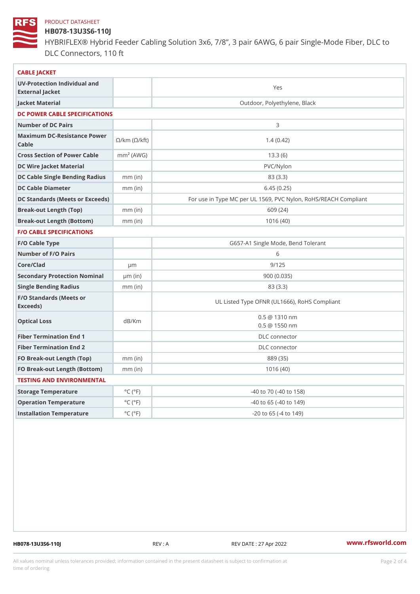# HB078-13U3S6-110J

HYBRIFLEX® Hybrid Feeder Cabling Solution 3x6, 7/8, 3 pair 6AWG, 6 DLC Connectors, 110 ft

| CABLE JACKET                                                                                                                    |                             |                                                      |
|---------------------------------------------------------------------------------------------------------------------------------|-----------------------------|------------------------------------------------------|
| UV-Protection Individual and<br>External Jacket                                                                                 |                             | Yes                                                  |
| Jacket Material                                                                                                                 |                             | Outdoor, Polyethylene, Black                         |
| DC POWER CABLE SPECIFICATIONS                                                                                                   |                             |                                                      |
| Number of DC Pairs                                                                                                              |                             | 3                                                    |
| Maximum DC-Resistance $\bigotimes_{k=m}^{\infty}$ ( $\bigotimes_{k=m}^{\infty}$ /km ( $\bigotimes_{k=m}^{\infty}$ )<br>$C$ able |                             | 1.4(0.42)                                            |
| Cross Section of Power Cnamble (AWG)                                                                                            |                             | 13.3(6)                                              |
| DC Wire Jacket Material                                                                                                         |                             | $PVC/Ny$ lon                                         |
| DC Cable Single Bending Rhandi(uish)                                                                                            |                             | 83 (3.3)                                             |
| DC Cable Diameter                                                                                                               | $mm$ (in)                   | 6.45(0.25)                                           |
| DC Standards (Meets or Exceeds)                                                                                                 |                             | For use in Type MC per UL 1569, PVC Nylon, RoHS/REAC |
| Break-out Length (Top)                                                                                                          | $mm$ (in)                   | 609 (24)                                             |
| Break-out Length (Bottcm)mm (in)                                                                                                |                             | 1016(40)                                             |
| F/O CABLE SPECIFICATIONS                                                                                                        |                             |                                                      |
| F/O Cable Type                                                                                                                  |                             | G657-A1 Single Mode, Bend Tolerant                   |
| Number of F/O Pairs                                                                                                             |                             | 6                                                    |
| Core/Clad                                                                                                                       | $\mu$ m                     | 9/125                                                |
| Secondary Protection Nominal(in)                                                                                                |                             | 900(0.035)                                           |
| Single Bending Radius                                                                                                           | $mm$ (in)                   | 83 (3.3)                                             |
| F/O Standards (Meets or<br>Exceeds)                                                                                             |                             | UL Listed Type OFNR (UL1666), RoHS Compliant         |
| Optical Loss                                                                                                                    | dB/Km                       | $0.5 \t@ 1310 nm$<br>$0.5 \ @ \ 1550 \ nm$           |
| Fiber Termination End                                                                                                           |                             | DLC connector                                        |
| Fiber Termination End 2                                                                                                         |                             | DLC connector                                        |
| FO Break-out Length (Top)mm (in)                                                                                                |                             | 889 (35)                                             |
| FO Break-out Length (Bottomm) (in)                                                                                              |                             | 1016(40)                                             |
| TESTING AND ENVIRONMENTAL                                                                                                       |                             |                                                      |
| Storage Temperature                                                                                                             | $^{\circ}$ C ( $^{\circ}$ F | -40 to 70 (-40 to 158)                               |
| Operation Temperature                                                                                                           | $^{\circ}$ C ( $^{\circ}$ F | $-40$ to 65 ( $-40$ to 149)                          |
| Installation Temperature                                                                                                        | $^{\circ}$ C ( $^{\circ}$ F | $-20$ to $65$ ( $-4$ to $149$ )                      |
|                                                                                                                                 |                             |                                                      |

HB078-13U3S6-110J REV : A REV DATE : 27 Apr 2022 [www.](https://www.rfsworld.com)rfsworld.com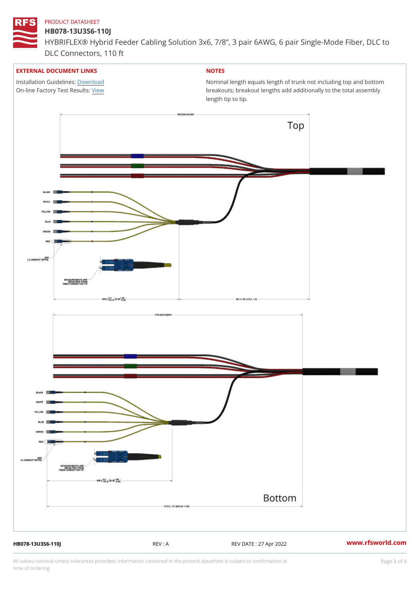### HB078-13U3S6-110J

HYBRIFLEX® Hybrid Feeder Cabling Solution 3x6, 7/8, 3 pair 6AWG, 6 DLC Connectors, 110 ft

### EXTERNAL DOCUMENT LINKS

Installation Guidelwinessad On-line Factory Te[s](https://www.rfsworld.com/pictures/userfiles/programs/AAST Latest Version.zip)/teRvesults:

# NOTES

Nominal length equals length of trunk not including t breakouts; breakout lengths add additionally to the t length tip to tip.

HB078-13U3S6-110J REV : A REV DATE : 27 Apr 2022 [www.](https://www.rfsworld.com)rfsworld.com

All values nominal unless tolerances provided; information contained in the present datasheet is subject to Pcapgeling that i time of ordering